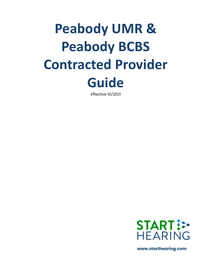# **Peabody UMR & Peabody BCBS Contracted Provider Guide**

Effective 10/2021



 **www.starthearing.com**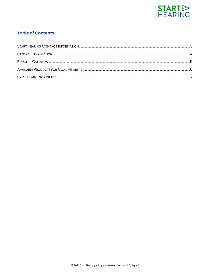

### **Table of Contents**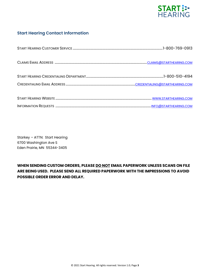

### **Start Hearing Contact Information**

Starkey – ATTN: Start Hearing 6700 Washington Ave S Eden Prairie, MN 55344-3405

### **WHEN SENDING CUSTOM ORDERS, PLEASE DO NOT EMAIL PAPERWORK UNLESS SCANS ON FILE ARE BEING USED. PLEASE SEND ALL REQUIRED PAPERWORK WITH THE IMPRESSIONS TO AVOID POSSIBLE ORDER ERROR AND DELAY.**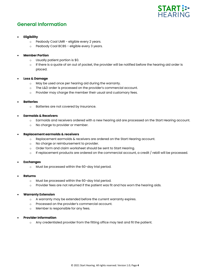

### **General Information**

### • **Eligibility**

- o Peabody Coal UMR eligible every 2 years.
- o Peabody Coal BCBS eligible every 3 years.

### • **Member Portion**

- o Usually patient portion is \$0.
- $\circ$  If there is a quote of an out of pocket, the provider will be notified before the hearing aid order is placed.

### • **Loss & Damage**

- o May be used once per hearing aid during the warranty.
- o The L&D order is processed on the provider's commercial account.
- o Provider may charge the member their usual and customary fees.

#### • **Batteries**

o Batteries are not covered by insurance.

### • **Earmolds & Receivers**

- o Earmolds and receivers ordered with a new hearing aid are processed on the Start Hearing account.
- o No charge to provider or member.

#### • **Replacement earmolds & receivers**

- o Replacement earmolds & receivers are ordered on the Start Hearing account.
- o No charge or reimbursement to provider.
- o Order form and claim worksheet should be sent to Start Hearing.
- $\circ$  If replacement products are ordered on the commercial account, a credit / rebill will be processed.

#### • **Exchanges**

o Must be processed within the 60-day trial period.

#### • **Returns**

- o Must be processed within the 60-day trial period.
- $\circ$  Provider fees are not returned if the patient was fit and has worn the hearing aids.

### • **Warranty Extension**

- o A warranty may be extended before the current warranty expires.
- o Processed on the provider's commercial account.
- o Member is responsible for any fees.

### • **Provider Information**

o Any credentialed provider from the fitting office may test and fit the patient.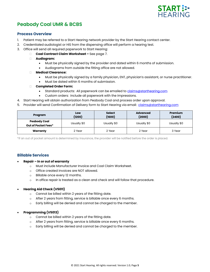

# **Peabody Coal UMR & BCBS**

### **Process Overview**

- 1. Patient may be referred to a Start Hearing network provider by the Start Hearing contact center.
- 2. Credentialed audiologist or HIS from the dispensing office will perform a hearing test.
- 3. Office will send all required paperwork to Start Hearing:
	- **Coal Contract Claim Worksheet –** See page 7.
	- **Audiogram:**
		- Must be physically signed by the provider and dated within 6 months of submission.
		- Audiograms from outside the fitting office are not allowed.
	- **Medical Clearance:**
		- Must be physically signed by a family physician, ENT, physician's assistant, or nurse practitioner.
		- Must be dated within 6 months of submission.
	- **Completed Order Form:**
		- Standard products: All paperwork can be emailed to [claims@starthearing.com](mailto:claims@starthearing.com)
		- Custom orders: include all paperwork with the impressions.
- 4. Start Hearing will obtain authorization from Peabody Coal and process order upon approval.
- 5. Provider will send Confirmation of Delivery form to Start Hearing via email: [claims@starthearing.com](mailto:claims@starthearing.com)

| Program                                    | Low<br>(1200) | <b>Select</b><br>(1600) | <b>Advanced</b><br>(2000) | Premium<br>(2400) |
|--------------------------------------------|---------------|-------------------------|---------------------------|-------------------|
| <b>Peabody Coal</b><br>Out of Pocket Fees* | Usually \$0   | Usually \$0             | Usually \$0               | Usually \$0       |
| Warranty                                   | 2 Year        | 2 Year                  | 2 Year                    | 3 Year            |

\*If an out of pocket amount is determined by insurance, the provider will be notified before the order is placed.

### **Billable Services**

- **Repair – In or out of warranty**
	- o Must include Manufacturer Invoice and Coal Claim Worksheet.
	- o Office created invoices are NOT allowed.
	- o Billable once every 12 months.
	- $\circ$  In office repair is treated as a clean and check and will follow that procedure.

### • **Hearing Aid Check (V5011)**

- o Cannot be billed within 2 years of the fitting date.
- o After 2 years from fitting, service is billable once every 6 months.
- o Early billing will be denied and cannot be charged to the member.

### • **Programming (V5013)**

- o Cannot be billed within 2 years of the fitting date.
- o After 2 years from fitting, service is billable once every 6 months.
- o Early billing will be denied and cannot be charged to the member.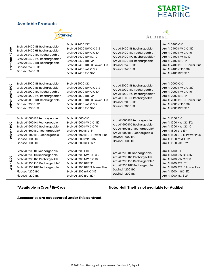

### **Available Products**

|                     | <b>Starkey</b>                                                                                                                                                                                                   |                                                                                                                                                                                                                            | <b>AUDIBEL</b>                                                                                                                                                          |                                                                                                                                                                                                            |
|---------------------|------------------------------------------------------------------------------------------------------------------------------------------------------------------------------------------------------------------|----------------------------------------------------------------------------------------------------------------------------------------------------------------------------------------------------------------------------|-------------------------------------------------------------------------------------------------------------------------------------------------------------------------|------------------------------------------------------------------------------------------------------------------------------------------------------------------------------------------------------------|
| $-2400$<br>Premium  | Evolv AI 2400 ITE Rechargeable<br>Evolv AI 2400 HS Rechargeable<br>Evolv Al 2400 ITC Rechargeable<br>Evolv AI 2400 RIC Rechargeable*<br>Evolv AI 2400 BTE Rechargeable<br>Picasso i2400 ITC<br>Picasso i2400 ITE | Evolv AI 2400 CIC<br>Evoly AI 2400 NW CIC 312<br>Evolv AI 2400 NW CIC 10<br><b>Evolv AI 2400 NW IIC 10</b><br>Evolv AI 2400 BTE 13*<br>Evoly AI 2400 BTE 13 Power Plus<br>Evoly AI 2400 mRIC 312<br>Evolv AI 2400 RIC 312* | Arc AI 2400 ITE Rechargeable<br>Arc Al 2400 ITC Rechargeable<br>Arc Al 2400 RIC Rechargeable*<br>Arc Al 2400 BTE Rechargeable<br>Davinci i2400 ITC<br>Davinci i2400 ITE | <b>Arc AI 2400 CIC</b><br>Arc AI 2400 NW CIC 312<br>Arc AI 2400 NW CIC 10<br>Arc AI 2400 NW IIC 10<br>Arc Al 2400 BTE 13*<br>Arc AI 2400 BTE 13 Power Plus<br>Arc Al 2400 mRIC 312<br>Arc AI 2400 RIC 312* |
| $-2000$<br>Advanced | Evolv AI 2000 ITE Rechargeable<br>Evolv AI 2000 HS Rechargeable<br>Evolv AI 2000 ITC Rechargeable<br>Evolv AI 2000 RIC Rechargeable*<br>Evolv AI 2000 BTE Rechargeable<br>Picasso i2000 ITC<br>Picasso i2000 ITE | Evolv AI 2000 CIC<br><b>Evolv AI 2000 NW CIC 312</b><br><b>Evolv AI 2000 NW CIC 10</b><br>Evolv AI 2000 BTE 13*<br>Evoly AI 2000 BTE 13 Power Plus<br>Evoly AI 2000 mRIC 312<br>Evolv AI 2000 RIC 312*                     | Arc AI 2000 ITE Rechargeable<br>Arc Al 2000 ITC Rechargeable<br>Arc Al 2000 RIC Rechargeable*<br>Arc AI 2.00 BTE Rechargeable<br>Davinci i2000 ITC<br>Davinci i2000 ITE | <b>Arc AI 2000 CIC</b><br>Arc AI 2000 NW CIC 312<br>Arc AI 2000 NW CIC 10<br>Arc AI 2000 BTE 13*<br>Arc AI 2000 BTE 13 Power Plus<br>Arc AI 2000 mRIC 312<br>Arc AI 2000 RIC 312*                          |
| $-1600$<br>Select   | Evolv AI 1600 ITE Rechargeable<br>Evolv AI 1600 HS Rechargeable<br>Evolv AI 1600 ITC Rechargeable<br>Evolv AI 1600 RIC Rechargeable*<br>Evolv AI 1600 BTE Rechargeable<br>Picasso i1600 ITC<br>Picasso i1600 ITE | Evolv AI 1600 CIC<br><b>Evolv AI 1600 NW CIC 312</b><br><b>Evolv AI 1600 NW CIC 10</b><br>Evolv AI 1600 BTE 13*<br>Evolv AI 1600 BTE 13 Power Plus<br>Evoly AI 1600 mRIC 312<br>Evolv AI 1600 RIC 312*                     | Arc AI 1600 ITE Rechargeable<br>Arc AI 1600 ITC Rechargeable<br>Arc Al 1600 RIC Rechargeable*<br>Arc Al 1600 BTE Rechargeable<br>Davinci i1600 ITC<br>Davinci i1600 ITE | <b>Arc AI 1600 CIC</b><br>Arc AI 1600 NW CIC 312<br>Arc AI 1600 NW CIC 10<br>Arc AI 1600 BTE 13*<br>Arc AI 1600 BTE 13 Power Plus<br>Arc AI 1600 mRIC 312<br>Arc AI 1600 RIC 312*                          |
| 1200<br><b>Nor</b>  | Evolv AI 1200 ITE Rechargeable<br>Evolv AI 1200 HS Rechargeable<br>Evolv AI 1200 ITC Rechargeable<br>Evolv AI 1200 RIC Rechargeable*<br>Evolv AI 1200 BTE Rechargeable<br>Picasso il200 ITC<br>Picasso il200 ITE | Evoly AI 1200 CIC<br><b>Evolv AI 1200 NW CIC 312</b><br><b>Evolv AI 1200 NW CIC 10</b><br>Evolv AI 1200 BTE 13*<br>Evoly AI 1200 BTE 13 Power Plus<br>Evolv AI 1200 mRIC 312<br>Evolv AI 1200 RIC 312*                     | Arc AI 1200 ITE Rechargeable<br>Arc AI 1200 ITC Rechargeable<br>Arc Al 1200 RIC Rechargeable*<br>Arc AI 1200 BTE Rechargeable<br>Davinci il200 ITC<br>Davinci il200 ITE | Arc AI 1200 CIC<br>Arc AI 1200 NW CIC 312<br>Arc AI 1200 NW CIC 10<br>Arc AI 1200 BTE 13*<br>Arc AI 1200 BTE 13 Power Plus<br>Arc Al 1200 mRIC 312<br>Arc AI 1200 RIC 312*                                 |

### **\*Available in Cros / Bi-Cros Note: Half Shell is not available for Audibel**

**Accessories are not covered under this contract.**